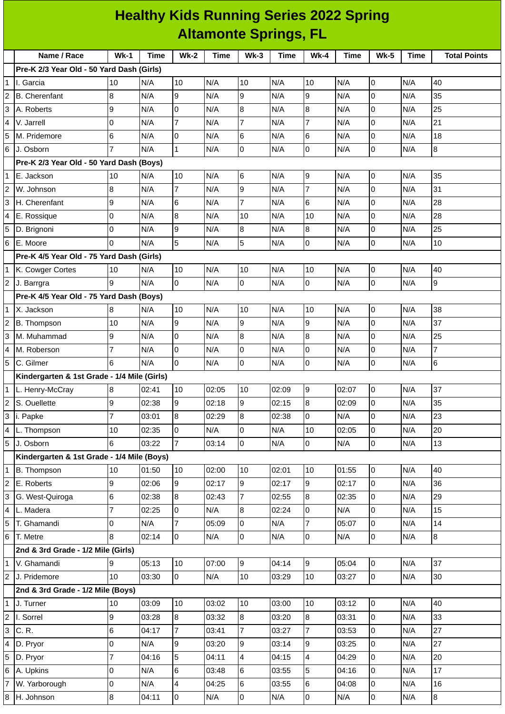## **Healthy Kids Running Series 2022 Spring Altamonte Springs, FL**

|                | Name / Race                                 | $Wk-1$         | <b>Time</b> |                |             |                |       | $Wk-4$                   |       | <b>Wk-5</b>    |             |                     |
|----------------|---------------------------------------------|----------------|-------------|----------------|-------------|----------------|-------|--------------------------|-------|----------------|-------------|---------------------|
|                | Pre-K 2/3 Year Old - 50 Yard Dash (Girls)   |                |             | <b>Wk-2</b>    | <b>Time</b> | $Wk-3$         | Time  |                          | Time  |                | <b>Time</b> | <b>Total Points</b> |
| $\mathbf{1}$   | II. Garcia                                  | 10             | N/A         | 10             | N/A         | 10             | N/A   | 10                       | N/A   | 0              | N/A         | 40                  |
| 2              | <b>B.</b> Cherenfant                        | 8              | N/A         | 9              | N/A         | 9              | N/A   | 9                        | N/A   | 0              | N/A         | 35                  |
| 3              | A. Roberts                                  | 9              | N/A         | 0              | N/A         | 8              | N/A   | 8                        | N/A   | $\overline{0}$ | N/A         | 25                  |
| 4              | V. Jarrell                                  | 0              | N/A         | $\overline{7}$ | N/A         | $\overline{7}$ | N/A   | $\overline{7}$           | N/A   | $\overline{0}$ | N/A         | 21                  |
| 5              | M. Pridemore                                | 6              | N/A         | 0              | N/A         | 6              | N/A   | 6                        | N/A   | $\pmb{0}$      | N/A         | 18                  |
| 6              | J. Osborn                                   |                | N/A         | $\mathbf{1}$   | N/A         | 0              | N/A   | 0                        | N/A   | 0              | N/A         | 8                   |
|                | Pre-K 2/3 Year Old - 50 Yard Dash (Boys)    |                |             |                |             |                |       |                          |       |                |             |                     |
| 1              | E. Jackson                                  | 10             | N/A         | 10             | N/A         | 6              | N/A   | 9                        | N/A   | $\pmb{0}$      | N/A         | 35                  |
| 2              | W. Johnson                                  | 8              | N/A         | $\overline{7}$ | N/A         | 9              | N/A   | $\overline{7}$           | N/A   | $\overline{0}$ | N/A         | 31                  |
| 3              | H. Cherenfant                               | 9              | N/A         | 6              | N/A         | $\overline{7}$ | N/A   | 6                        | N/A   | 0              | N/A         | 28                  |
|                | E. Rossique                                 | 0              | N/A         | 8              | N/A         | 10             | N/A   | 10                       | N/A   | $\mathsf 0$    | N/A         | 28                  |
| 5              | D. Brignoni                                 | 0              | N/A         | $\mathsf g$    | N/A         | 8              | N/A   | 8                        | N/A   | $\overline{0}$ | N/A         | 25                  |
| 6              | E. Moore                                    | $\Omega$       | N/A         | 5              | N/A         | 5              | N/A   | 0                        | N/A   | $\mathsf 0$    | N/A         | 10                  |
|                | Pre-K 4/5 Year Old - 75 Yard Dash (Girls)   |                |             |                |             |                |       |                          |       |                |             |                     |
| $\mathbf 1$    | K. Cowger Cortes                            | 10             | N/A         | 10             | N/A         | 10             | N/A   | 10                       | N/A   | $\overline{0}$ | N/A         | 40                  |
| 2              | J. Barrgra                                  | 9              | N/A         | 0              | N/A         | 0              | N/A   | 0                        | N/A   | $\mathbf 0$    | N/A         | 9                   |
|                | Pre-K 4/5 Year Old - 75 Yard Dash (Boys)    |                |             |                |             |                |       |                          |       |                |             |                     |
| $\mathbf 1$    | X. Jackson                                  | 8              | N/A         | 10             | N/A         | 10             | N/A   | 10                       | N/A   | $\pmb{0}$      | N/A         | 38                  |
| 2              | B. Thompson                                 | 10             | N/A         | 9              | N/A         | 9              | N/A   | 9                        | N/A   | $\overline{0}$ | N/A         | 37                  |
| 3              | M. Muhammad                                 | 9              | N/A         | 0              | N/A         | 8              | N/A   | 8                        | N/A   | $\overline{0}$ | N/A         | 25                  |
| 4              | M. Roberson                                 | $\overline{7}$ | N/A         | O              | N/A         | 0              | N/A   | 0                        | N/A   | $\pmb{0}$      | N/A         | $\overline{7}$      |
| 5              | C. Gilmer                                   | 6              | N/A         | $\overline{0}$ | N/A         | 0              | N/A   | 0                        | N/A   | 0              | N/A         | 6                   |
|                | Kindergarten & 1st Grade - 1/4 Mile (Girls) |                |             |                |             |                |       |                          |       |                |             |                     |
| 1              | L. Henry-McCray                             | 8              | 02:41       | 10             | 02:05       | 10             | 02:09 | 9                        | 02:07 | O              | N/A         | 37                  |
| 2              | S. Ouellette                                | 9              | 02:38       | 9              | 02:18       | 9              | 02:15 | $\bf{8}$                 | 02:09 | $\mathsf 0$    | N/A         | 35                  |
| 3              | i. Papke                                    | 7              | 03:01       | $\bf{8}$       | 02:29       | $\bf{8}$       | 02:38 | 0                        | N/A   | 0              | N/A         | 23                  |
|                | 4 L. Thompson                               | 10             | 02:35       | $\overline{0}$ | N/A         | $\pmb{0}$      | N/A   | 10                       | 02:05 | 0              | N/A         | 20                  |
| 5              | J. Osborn                                   | 6              | 03:22       | $\overline{7}$ | 03:14       | $\overline{0}$ | N/A   | 0                        | N/A   | 0              | N/A         | 13                  |
|                | Kindergarten & 1st Grade - 1/4 Mile (Boys)  |                |             |                |             |                |       |                          |       |                |             |                     |
| $\mathbf{1}$   | B. Thompson                                 | 10             | 01:50       | 10             | 02:00       | 10             | 02:01 | 10                       | 01:55 | $\overline{0}$ | N/A         | 40                  |
| $\overline{c}$ | E. Roberts                                  | 9              | 02:06       | 9              | 02:17       | 9              | 02:17 | 9                        | 02:17 | 0              | N/A         | 36                  |
| 3              | G. West-Quiroga                             | 6              | 02:38       | 8              | 02:43       | $\overline{7}$ | 02:55 | 8                        | 02:35 | 0              | N/A         | 29                  |
| 4              | L. Madera                                   | $\overline{7}$ | 02:25       | 0              | N/A         | 8              | 02:24 | 0                        | N/A   | 0              | N/A         | 15                  |
| 5              | T. Ghamandi                                 | 0              | N/A         | 7              | 05:09       | 0              | N/A   | 7                        | 05:07 | 0              | N/A         | 14                  |
| 6              | T. Metre                                    | 8              | 02:14       | $\overline{0}$ | N/A         | 0              | N/A   | 0                        | N/A   | $\overline{0}$ | N/A         | 8                   |
|                | 2nd & 3rd Grade - 1/2 Mile (Girls)          |                |             |                |             |                |       |                          |       |                |             |                     |
| 1              | V. Ghamandi                                 | 9              | 05:13       | 10             | 07:00       | 9              | 04:14 | 9                        | 05:04 | $\overline{0}$ | N/A         | 37                  |
| $\overline{c}$ | J. Pridemore                                | 10             | 03:30       | $\overline{0}$ | N/A         | 10             | 03:29 | 10                       | 03:27 | $\overline{0}$ | N/A         | 30                  |
|                | 2nd & 3rd Grade - 1/2 Mile (Boys)           |                |             |                |             |                |       |                          |       |                |             |                     |
| 1              | J. Turner                                   | 10             | 03:09       | 10             | 03:02       | 10             | 03:00 | 10                       | 03:12 | $\overline{0}$ | N/A         | 40                  |
| $\overline{2}$ | I. Sorrel                                   | 9              | 03:28       | $\overline{8}$ | 03:32       | 8              | 03:20 | $\overline{8}$           | 03:31 | $\overline{0}$ | N/A         | 33                  |
| 3              | C. R.                                       | 6              | 04:17       | $\overline{7}$ | 03:41       | $\overline{7}$ | 03:27 | $\overline{7}$           | 03:53 | $\overline{0}$ | N/A         | 27                  |
|                | D. Pryor                                    | 0              | N/A         | 9              | 03:20       | 9              | 03:14 | 9                        | 03:25 | 0              | N/A         | 27                  |
| 5              | D. Pryor                                    | $\overline{7}$ | 04:16       | 5              | 04:11       | 4              | 04:15 | $\overline{\mathcal{L}}$ | 04:29 | 0              | N/A         | 20                  |
| 6              | A. Upkins                                   | 0              | N/A         | 6              | 03:48       | 6              | 03:55 | 5                        | 04:16 | 0              | N/A         | 17                  |
| $\overline{7}$ | W. Yarborough                               | 0              | N/A         | 4              | 04:25       | 6              | 03:55 | 6                        | 04:08 | 0              | N/A         | 16                  |
| 8              | H. Johnson                                  | 8              | 04:11       | $\overline{0}$ | N/A         | $\pmb{0}$      | N/A   | 0                        | N/A   | $\mathsf 0$    | N/A         | 8                   |